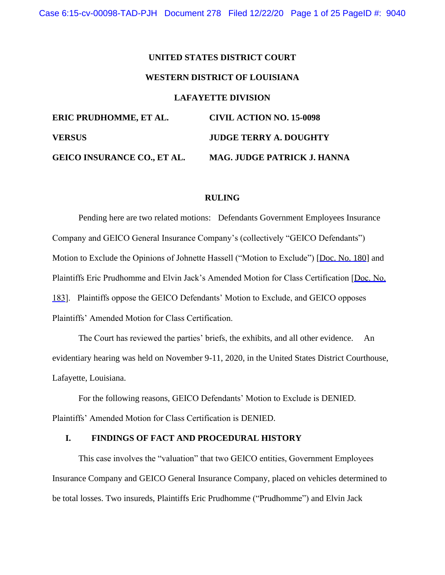# **UNITED STATES DISTRICT COURT WESTERN DISTRICT OF LOUISIANA LAFAYETTE DIVISION ERIC PRUDHOMME, ET AL. CIVIL ACTION NO. 15-0098 VERSUS JUDGE TERRY A. DOUGHTY GEICO INSURANCE CO., ET AL. MAG. JUDGE PATRICK J. HANNA**

#### **RULING**

Pending here are two related motions: Defendants Government Employees Insurance Company and GEICO General Insurance Company's (collectively "GEICO Defendants") Motion to Exclude the Opinions of Johnette Hassell ("Motion to Exclude") [Doc. No. 180] and Plaintiffs Eric Prudhomme and Elvin Jack's Amended Motion for Class Certification [Doc. No. 183]. Plaintiffs oppose the GEICO Defendants' Motion to Exclude, and GEICO opposes Plaintiffs' Amended Motion for Class Certification.

The Court has reviewed the parties' briefs, the exhibits, and all other evidence. An evidentiary hearing was held on November 9-11, 2020, in the United States District Courthouse, Lafayette, Louisiana.

For the following reasons, GEICO Defendants' Motion to Exclude is DENIED. Plaintiffs' Amended Motion for Class Certification is DENIED.

### **I. FINDINGS OF FACT AND PROCEDURAL HISTORY**

This case involves the "valuation" that two GEICO entities, Government Employees Insurance Company and GEICO General Insurance Company, placed on vehicles determined to be total losses. Two insureds, Plaintiffs Eric Prudhomme ("Prudhomme") and Elvin Jack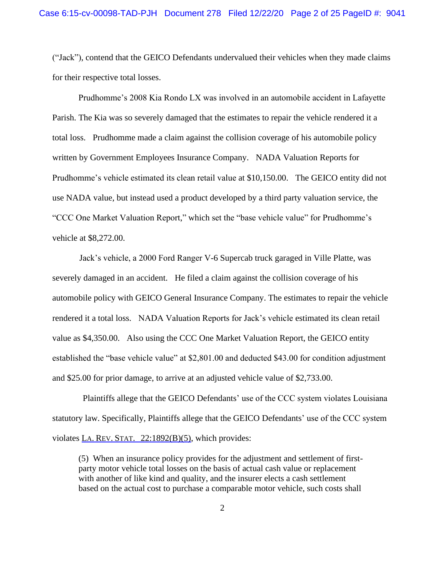("Jack"), contend that the GEICO Defendants undervalued their vehicles when they made claims for their respective total losses.

Prudhomme's 2008 Kia Rondo LX was involved in an automobile accident in Lafayette Parish. The Kia was so severely damaged that the estimates to repair the vehicle rendered it a total loss. Prudhomme made a claim against the collision coverage of his automobile policy written by Government Employees Insurance Company. NADA Valuation Reports for Prudhomme's vehicle estimated its clean retail value at \$10,150.00. The GEICO entity did not use NADA value, but instead used a product developed by a third party valuation service, the "CCC One Market Valuation Report," which set the "base vehicle value" for Prudhomme's vehicle at \$8,272.00.

 Jack's vehicle, a 2000 Ford Ranger V-6 Supercab truck garaged in Ville Platte, was severely damaged in an accident. He filed a claim against the collision coverage of his automobile policy with GEICO General Insurance Company. The estimates to repair the vehicle rendered it a total loss. NADA Valuation Reports for Jack's vehicle estimated its clean retail value as \$4,350.00. Also using the CCC One Market Valuation Report, the GEICO entity established the "base vehicle value" at \$2,801.00 and deducted \$43.00 for condition adjustment and \$25.00 for prior damage, to arrive at an adjusted vehicle value of \$2,733.00.

 Plaintiffs allege that the GEICO Defendants' use of the CCC system violates Louisiana statutory law. Specifically, Plaintiffs allege that the GEICO Defendants' use of the CCC system violates LA. REV. STAT. 22:1892(B)(5), which provides:

(5) When an insurance policy provides for the adjustment and settlement of firstparty motor vehicle total losses on the basis of actual cash value or replacement with another of like kind and quality, and the insurer elects a cash settlement based on the actual cost to purchase a comparable motor vehicle, such costs shall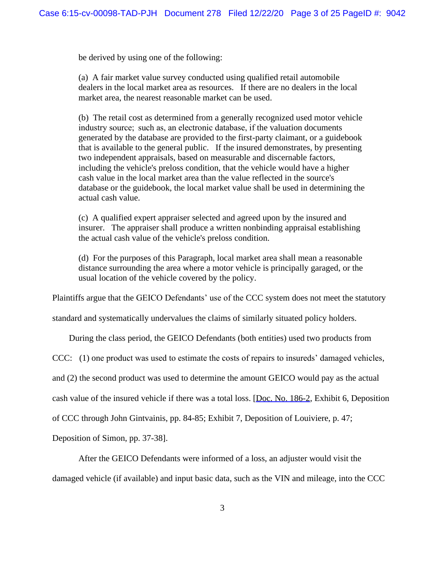be derived by using one of the following:

(a) A fair market value survey conducted using qualified retail automobile dealers in the local market area as resources. If there are no dealers in the local market area, the nearest reasonable market can be used.

(b) The retail cost as determined from a generally recognized used motor vehicle industry source;  such as, an electronic database, if the valuation documents generated by the database are provided to the first-party claimant, or a guidebook that is available to the general public. If the insured demonstrates, by presenting two independent appraisals, based on measurable and discernable factors, including the vehicle's preloss condition, that the vehicle would have a higher cash value in the local market area than the value reflected in the source's database or the guidebook, the local market value shall be used in determining the actual cash value.

(c) A qualified expert appraiser selected and agreed upon by the insured and insurer. The appraiser shall produce a written nonbinding appraisal establishing the actual cash value of the vehicle's preloss condition.

(d) For the purposes of this Paragraph, local market area shall mean a reasonable distance surrounding the area where a motor vehicle is principally garaged, or the usual location of the vehicle covered by the policy.

Plaintiffs argue that the GEICO Defendants' use of the CCC system does not meet the statutory

standard and systematically undervalues the claims of similarly situated policy holders.

During the class period, the GEICO Defendants (both entities) used two products from

CCC: (1) one product was used to estimate the costs of repairs to insureds' damaged vehicles,

and (2) the second product was used to determine the amount GEICO would pay as the actual

cash value of the insured vehicle if there was a total loss. [Doc. No. 186-2, Exhibit 6, Deposition

of CCC through John Gintvainis, pp. 84-85; Exhibit 7, Deposition of Louiviere, p. 47;

Deposition of Simon, pp. 37-38].

After the GEICO Defendants were informed of a loss, an adjuster would visit the

damaged vehicle (if available) and input basic data, such as the VIN and mileage, into the CCC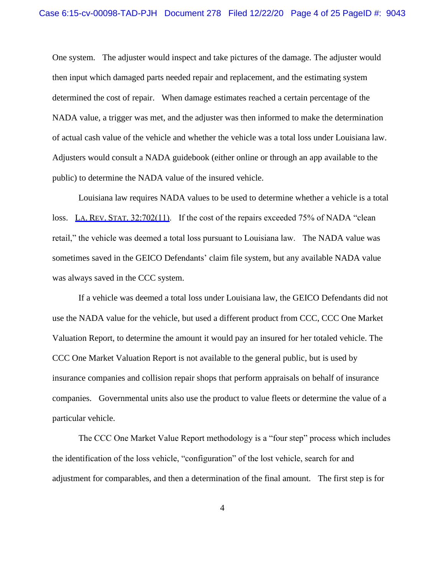One system. The adjuster would inspect and take pictures of the damage. The adjuster would then input which damaged parts needed repair and replacement, and the estimating system determined the cost of repair. When damage estimates reached a certain percentage of the NADA value, a trigger was met, and the adjuster was then informed to make the determination of actual cash value of the vehicle and whether the vehicle was a total loss under Louisiana law. Adjusters would consult a NADA guidebook (either online or through an app available to the public) to determine the NADA value of the insured vehicle.

Louisiana law requires NADA values to be used to determine whether a vehicle is a total loss. LA. REV. STAT. 32:702(11). If the cost of the repairs exceeded 75% of NADA "clean" retail," the vehicle was deemed a total loss pursuant to Louisiana law. The NADA value was sometimes saved in the GEICO Defendants' claim file system, but any available NADA value was always saved in the CCC system.

If a vehicle was deemed a total loss under Louisiana law, the GEICO Defendants did not use the NADA value for the vehicle, but used a different product from CCC, CCC One Market Valuation Report, to determine the amount it would pay an insured for her totaled vehicle. The CCC One Market Valuation Report is not available to the general public, but is used by insurance companies and collision repair shops that perform appraisals on behalf of insurance companies. Governmental units also use the product to value fleets or determine the value of a particular vehicle.

The CCC One Market Value Report methodology is a "four step" process which includes the identification of the loss vehicle, "configuration" of the lost vehicle, search for and adjustment for comparables, and then a determination of the final amount. The first step is for

4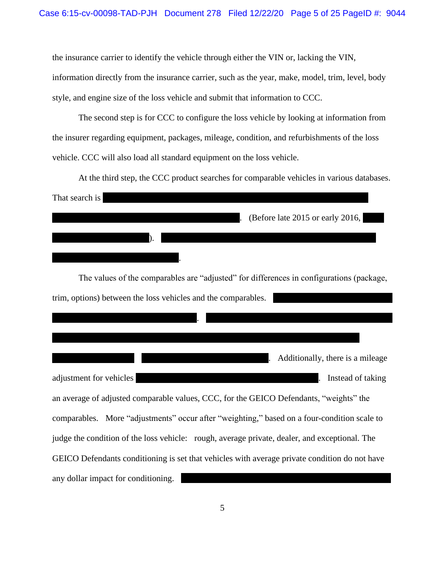the insurance carrier to identify the vehicle through either the VIN or, lacking the VIN, information directly from the insurance carrier, such as the year, make, model, trim, level, body style, and engine size of the loss vehicle and submit that information to CCC.

The second step is for CCC to configure the loss vehicle by looking at information from the insurer regarding equipment, packages, mileage, condition, and refurbishments of the loss vehicle. CCC will also load all standard equipment on the loss vehicle.

At the third step, the CCC product searches for comparable vehicles in various databases. That search is . (Before late 2015 or early 2016, ). . The values of the comparables are "adjusted" for differences in configurations (package, trim, options) between the loss vehicles and the comparables. . . Additionally, there is a mileage adjustment for vehicles **adjustment** for vehicles **a** set of taking  $\blacksquare$  **h** and  $\blacksquare$  **h** and  $\blacksquare$  **h** and  $\blacksquare$  **h** and  $\blacksquare$  **h** and  $\blacksquare$  **h** and  $\blacksquare$  **h** and  $\blacksquare$  **h** and  $\blacksquare$  **h** and  $\blacksquare$  **h** and  $\blacks$ an average of adjusted comparable values, CCC, for the GEICO Defendants, "weights" the comparables. More "adjustments" occur after "weighting," based on a four-condition scale to judge the condition of the loss vehicle: rough, average private, dealer, and exceptional. The GEICO Defendants conditioning is set that vehicles with average private condition do not have any dollar impact for conditioning.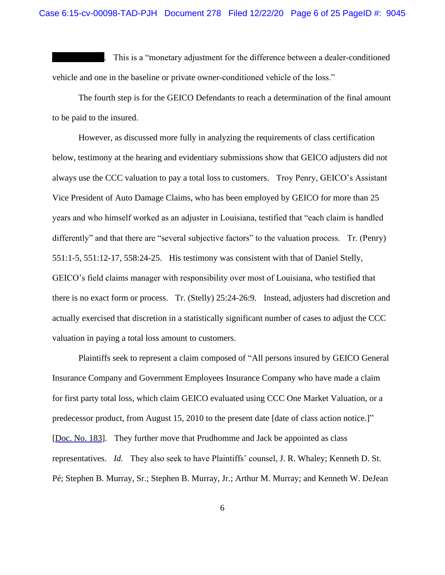. This is a "monetary adjustment for the difference between a dealer-conditioned vehicle and one in the baseline or private owner-conditioned vehicle of the loss."

The fourth step is for the GEICO Defendants to reach a determination of the final amount to be paid to the insured.

However, as discussed more fully in analyzing the requirements of class certification below, testimony at the hearing and evidentiary submissions show that GEICO adjusters did not always use the CCC valuation to pay a total loss to customers. Troy Penry, GEICO's Assistant Vice President of Auto Damage Claims, who has been employed by GEICO for more than 25 years and who himself worked as an adjuster in Louisiana, testified that "each claim is handled differently" and that there are "several subjective factors" to the valuation process. Tr. (Penry) 551:1-5, 551:12-17, 558:24-25. His testimony was consistent with that of Daniel Stelly, GEICO's field claims manager with responsibility over most of Louisiana, who testified that there is no exact form or process. Tr. (Stelly) 25:24-26:9. Instead, adjusters had discretion and actually exercised that discretion in a statistically significant number of cases to adjust the CCC valuation in paying a total loss amount to customers.

Plaintiffs seek to represent a claim composed of "All persons insured by GEICO General Insurance Company and Government Employees Insurance Company who have made a claim for first party total loss, which claim GEICO evaluated using CCC One Market Valuation, or a predecessor product, from August 15, 2010 to the present date [date of class action notice.]" [Doc. No. 183]. They further move that Prudhomme and Jack be appointed as class representatives. *Id.* They also seek to have Plaintiffs' counsel, J. R. Whaley; Kenneth D. St. Pé; Stephen B. Murray, Sr.; Stephen B. Murray, Jr.; Arthur M. Murray; and Kenneth W. DeJean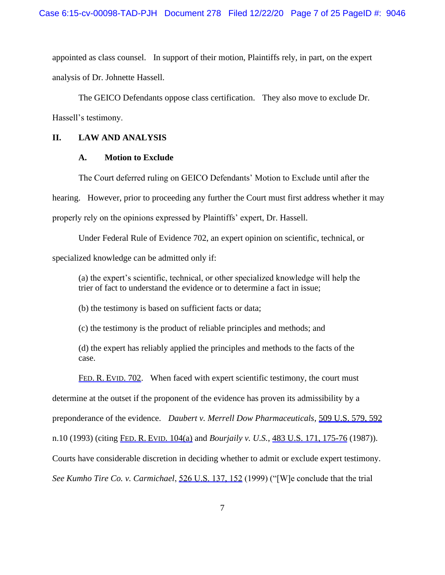appointed as class counsel. In support of their motion, Plaintiffs rely, in part, on the expert analysis of Dr. Johnette Hassell.

The GEICO Defendants oppose class certification. They also move to exclude Dr. Hassell's testimony.

## **II. LAW AND ANALYSIS**

# **A. Motion to Exclude**

The Court deferred ruling on GEICO Defendants' Motion to Exclude until after the hearing. However, prior to proceeding any further the Court must first address whether it may properly rely on the opinions expressed by Plaintiffs' expert, Dr. Hassell.

Under Federal Rule of Evidence 702, an expert opinion on scientific, technical, or specialized knowledge can be admitted only if:

(a) the expert's scientific, technical, or other specialized knowledge will help the trier of fact to understand the evidence or to determine a fact in issue;

(b) the testimony is based on sufficient facts or data;

(c) the testimony is the product of reliable principles and methods; and

(d) the expert has reliably applied the principles and methods to the facts of the case.

FED. R. EVID. 702. When faced with expert scientific testimony, the court must

determine at the outset if the proponent of the evidence has proven its admissibility by a

preponderance of the evidence. *Daubert v. Merrell Dow Pharmaceuticals*, 509 U.S. 579, 592

n.10 (1993) (citing FED. R. EVID. 104(a) and *Bourjaily v. U.S.*, 483 U.S. 171, 175-76 (1987)).

Courts have considerable discretion in deciding whether to admit or exclude expert testimony.

*See Kumho Tire Co. v. Carmichael*, 526 U.S. 137, 152 (1999) ("[W]e conclude that the trial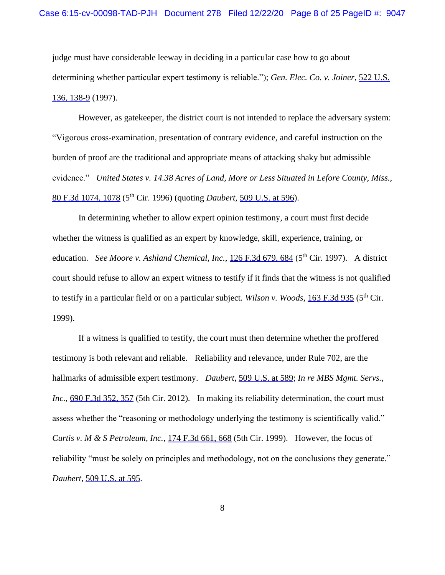judge must have considerable leeway in deciding in a particular case how to go about determining whether particular expert testimony is reliable."); *Gen. Elec. Co. v. Joiner*, 522 U.S. 136, 138-9 (1997).

However, as gatekeeper, the district court is not intended to replace the adversary system: "Vigorous cross-examination, presentation of contrary evidence, and careful instruction on the burden of proof are the traditional and appropriate means of attacking shaky but admissible evidence." *United States v. 14.38 Acres of Land, More or Less Situated in Lefore County, Miss.,*  80 F.3d 1074, 1078 (5th Cir. 1996) (quoting *Daubert,* 509 U.S. at 596).

In determining whether to allow expert opinion testimony, a court must first decide whether the witness is qualified as an expert by knowledge, skill, experience, training, or education. *See Moore v. Ashland Chemical, Inc.,* 126 F.3d 679, 684 (5<sup>th</sup> Cir. 1997). A district court should refuse to allow an expert witness to testify if it finds that the witness is not qualified to testify in a particular field or on a particular subject. Wilson v. Woods, 163 F.3d 935 (5<sup>th</sup> Cir. 1999).

If a witness is qualified to testify, the court must then determine whether the proffered testimony is both relevant and reliable. Reliability and relevance, under Rule 702, are the hallmarks of admissible expert testimony. *Daubert*, 509 U.S. at 589; *In re MBS Mgmt. Servs., Inc.*, 690 F.3d 352, 357 (5th Cir. 2012). In making its reliability determination, the court must assess whether the "reasoning or methodology underlying the testimony is scientifically valid." *Curtis v. M & S Petroleum, Inc.*, 174 F.3d 661, 668 (5th Cir. 1999). However, the focus of reliability "must be solely on principles and methodology, not on the conclusions they generate." *Daubert*, 509 U.S. at 595.

8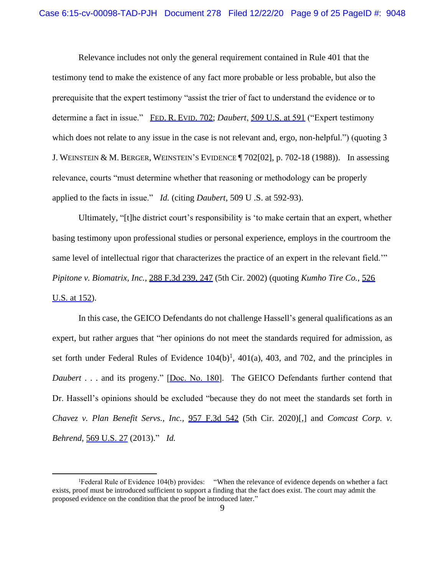Relevance includes not only the general requirement contained in Rule 401 that the testimony tend to make the existence of any fact more probable or less probable, but also the prerequisite that the expert testimony "assist the trier of fact to understand the evidence or to determine a fact in issue." FED. R. EVID. 702; *Daubert*, 509 U.S. at 591 ("Expert testimony which does not relate to any issue in the case is not relevant and, ergo, non-helpful.") (quoting 3 J. WEINSTEIN & M. BERGER, WEINSTEIN'S EVIDENCE ¶ 702[02], p. 702-18 (1988)). In assessing relevance, courts "must determine whether that reasoning or methodology can be properly applied to the facts in issue." *Id.* (citing *Daubert*, 509 U .S. at 592-93).

Ultimately, "[t]he district court's responsibility is 'to make certain that an expert, whether basing testimony upon professional studies or personal experience, employs in the courtroom the same level of intellectual rigor that characterizes the practice of an expert in the relevant field." *Pipitone v. Biomatrix, Inc.*, 288 F.3d 239, 247 (5th Cir. 2002) (quoting *Kumho Tire Co.*, 526 U.S. at 152).

In this case, the GEICO Defendants do not challenge Hassell's general qualifications as an expert, but rather argues that "her opinions do not meet the standards required for admission, as set forth under Federal Rules of Evidence  $104(b)$ <sup>1</sup>,  $401(a)$ ,  $403$ , and  $702$ , and the principles in *Daubert* . . . and its progeny." [Doc. No. 180]. The GEICO Defendants further contend that Dr. Hassell's opinions should be excluded "because they do not meet the standards set forth in *Chavez v. Plan Benefit Servs., Inc.,* 957 F.3d 542 (5th Cir. 2020)[,] and *Comcast Corp. v. Behrend*, 569 U.S. 27 (2013)." *Id.*

<sup>1</sup>Federal Rule of Evidence 104(b) provides: "When the relevance of evidence depends on whether a fact exists, proof must be introduced sufficient to support a finding that the fact does exist. The court may admit the proposed evidence on the condition that the proof be introduced later."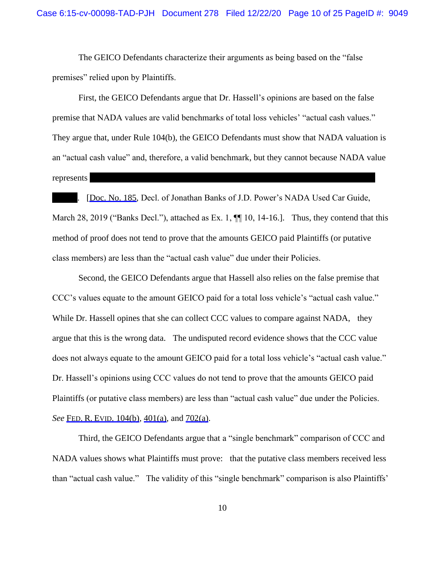The GEICO Defendants characterize their arguments as being based on the "false premises" relied upon by Plaintiffs.

First, the GEICO Defendants argue that Dr. Hassell's opinions are based on the false premise that NADA values are valid benchmarks of total loss vehicles' "actual cash values." They argue that, under Rule 104(b), the GEICO Defendants must show that NADA valuation is an "actual cash value" and, therefore, a valid benchmark, but they cannot because NADA value represents

. [Doc. No. 185, Decl. of Jonathan Banks of J.D. Power's NADA Used Car Guide, March 28, 2019 ("Banks Decl."), attached as Ex. 1,  $\P\P$  10, 14-16.]. Thus, they contend that this method of proof does not tend to prove that the amounts GEICO paid Plaintiffs (or putative class members) are less than the "actual cash value" due under their Policies.

Second, the GEICO Defendants argue that Hassell also relies on the false premise that CCC's values equate to the amount GEICO paid for a total loss vehicle's "actual cash value." While Dr. Hassell opines that she can collect CCC values to compare against NADA, they argue that this is the wrong data. The undisputed record evidence shows that the CCC value does not always equate to the amount GEICO paid for a total loss vehicle's "actual cash value." Dr. Hassell's opinions using CCC values do not tend to prove that the amounts GEICO paid Plaintiffs (or putative class members) are less than "actual cash value" due under the Policies. *See* FED. R. EVID. 104(b), 401(a), and 702(a).

Third, the GEICO Defendants argue that a "single benchmark" comparison of CCC and NADA values shows what Plaintiffs must prove: that the putative class members received less than "actual cash value." The validity of this "single benchmark" comparison is also Plaintiffs'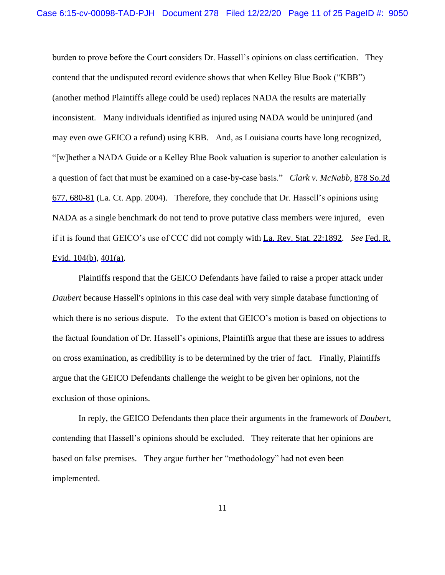burden to prove before the Court considers Dr. Hassell's opinions on class certification. They contend that the undisputed record evidence shows that when Kelley Blue Book ("KBB") (another method Plaintiffs allege could be used) replaces NADA the results are materially inconsistent. Many individuals identified as injured using NADA would be uninjured (and may even owe GEICO a refund) using KBB. And, as Louisiana courts have long recognized, "[w]hether a NADA Guide or a Kelley Blue Book valuation is superior to another calculation is a question of fact that must be examined on a case-by-case basis." *Clark v. McNabb*, 878 So.2d 677, 680-81 (La. Ct. App. 2004). Therefore, they conclude that Dr. Hassell's opinions using NADA as a single benchmark do not tend to prove putative class members were injured, even if it is found that GEICO's use of CCC did not comply with La. Rev. Stat. 22:1892. *See* Fed. R. Evid. 104(b), 401(a).

Plaintiffs respond that the GEICO Defendants have failed to raise a proper attack under *Daubert* because Hassell's opinions in this case deal with very simple database functioning of which there is no serious dispute. To the extent that GEICO's motion is based on objections to the factual foundation of Dr. Hassell's opinions, Plaintiffs argue that these are issues to address on cross examination, as credibility is to be determined by the trier of fact. Finally, Plaintiffs argue that the GEICO Defendants challenge the weight to be given her opinions, not the exclusion of those opinions.

In reply, the GEICO Defendants then place their arguments in the framework of *Daubert*, contending that Hassell's opinions should be excluded. They reiterate that her opinions are based on false premises. They argue further her "methodology" had not even been implemented.

11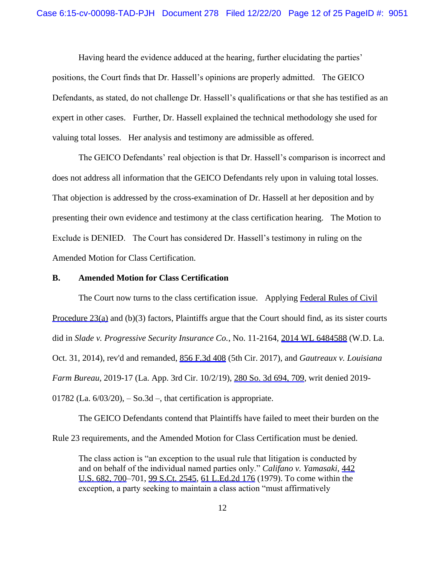Having heard the evidence adduced at the hearing, further elucidating the parties' positions, the Court finds that Dr. Hassell's opinions are properly admitted. The GEICO Defendants, as stated, do not challenge Dr. Hassell's qualifications or that she has testified as an expert in other cases. Further, Dr. Hassell explained the technical methodology she used for valuing total losses. Her analysis and testimony are admissible as offered.

The GEICO Defendants' real objection is that Dr. Hassell's comparison is incorrect and does not address all information that the GEICO Defendants rely upon in valuing total losses. That objection is addressed by the cross-examination of Dr. Hassell at her deposition and by presenting their own evidence and testimony at the class certification hearing. The Motion to Exclude is DENIED. The Court has considered Dr. Hassell's testimony in ruling on the Amended Motion for Class Certification.

#### **B. Amended Motion for Class Certification**

The Court now turns to the class certification issue. Applying Federal Rules of Civil Procedure 23(a) and (b)(3) factors, Plaintiffs argue that the Court should find, as its sister courts did in *Slade v. Progressive Security Insurance Co.*, No. 11-2164, 2014 WL 6484588 (W.D. La. Oct. 31, 2014), rev'd and remanded, 856 F.3d 408 (5th Cir. 2017), and *Gautreaux v. Louisiana Farm Bureau,* 2019-17 (La. App. 3rd Cir. 10/2/19), 280 So. 3d 694, 709, writ denied 2019- 01782 (La.  $6/03/20$ ),  $-$  So.3d  $-$ , that certification is appropriate.

The GEICO Defendants contend that Plaintiffs have failed to meet their burden on the Rule 23 requirements, and the Amended Motion for Class Certification must be denied.

The class action is "an exception to the usual rule that litigation is conducted by and on behalf of the individual named parties only." *Califano v. Yamasaki,* 442 U.S. 682, 700–701, 99 S.Ct. 2545, 61 L.Ed.2d 176 (1979). To come within the exception, a party seeking to maintain a class action "must affirmatively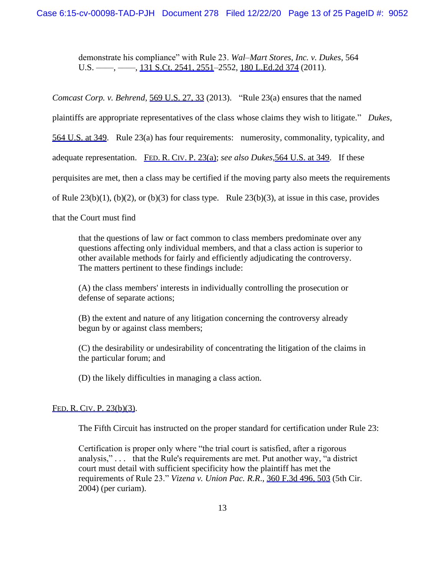demonstrate his compliance" with Rule 23. *Wal–Mart Stores, Inc. v. Dukes*, 564 U.S. —–, —–, 131 S.Ct. 2541, 2551–2552, 180 L.Ed.2d 374 (2011).

*Comcast Corp. v. Behrend*, 569 U.S. 27, 33 (2013). "Rule 23(a) ensures that the named

plaintiffs are appropriate representatives of the class whose claims they wish to litigate." *Dukes*,

564 U.S. at 349. Rule 23(a) has four requirements: numerosity, commonality, typicality, and

adequate representation. FED. R. CIV. P. 23(a); *see also Dukes,*564 U.S. at 349. If these

perquisites are met, then a class may be certified if the moving party also meets the requirements

of Rule  $23(b)(1)$ ,  $(b)(2)$ , or  $(b)(3)$  for class type. Rule  $23(b)(3)$ , at issue in this case, provides

that the Court must find

that the questions of law or fact common to class members predominate over any questions affecting only individual members, and that a class action is superior to other available methods for fairly and efficiently adjudicating the controversy. The matters pertinent to these findings include:

(A) the class members' interests in individually controlling the prosecution or defense of separate actions;

(B) the extent and nature of any litigation concerning the controversy already begun by or against class members;

(C) the desirability or undesirability of concentrating the litigation of the claims in the particular forum; and

(D) the likely difficulties in managing a class action.

# FED. R. CIV. P. 23(b)(3).

The Fifth Circuit has instructed on the proper standard for certification under Rule 23:

Certification is proper only where "the trial court is satisfied, after a rigorous analysis," . . . that the Rule's requirements are met. Put another way, "a district court must detail with sufficient specificity how the plaintiff has met the requirements of Rule 23." *Vizena v. Union Pac. R.R*., 360 F.3d 496, 503 (5th Cir. 2004) (per curiam).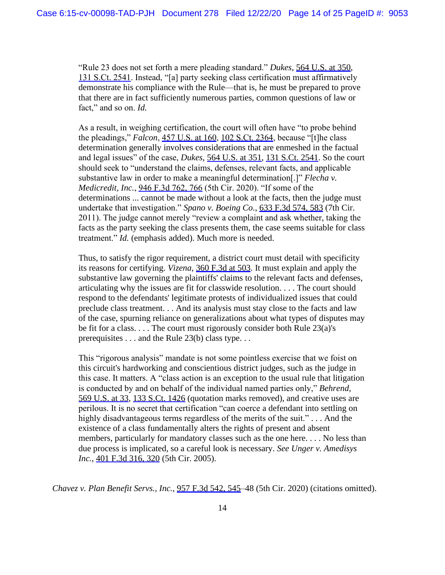"Rule 23 does not set forth a mere pleading standard." *Dukes*, 564 U.S. at 350, 131 S.Ct. 2541. Instead, "[a] party seeking class certification must affirmatively demonstrate his compliance with the Rule—that is, he must be prepared to prove that there are in fact sufficiently numerous parties, common questions of law or fact," and so on. *Id.*

As a result, in weighing certification, the court will often have "to probe behind the pleadings," *Falcon*, 457 U.S. at 160, 102 S.Ct. 2364, because "[t]he class determination generally involves considerations that are enmeshed in the factual and legal issues" of the case, *Dukes,* 564 U.S. at 351, 131 S.Ct. 2541. So the court should seek to "understand the claims, defenses, relevant facts, and applicable substantive law in order to make a meaningful determination[.]" *Flecha v. Medicredit, Inc.*, 946 F.3d 762, 766 (5th Cir. 2020). "If some of the determinations ... cannot be made without a look at the facts, then the judge must undertake that investigation." *Spano v. Boeing Co*., 633 F.3d 574, 583 (7th Cir. 2011). The judge cannot merely "review a complaint and ask whether, taking the facts as the party seeking the class presents them, the case seems suitable for class treatment." *Id.* (emphasis added). Much more is needed.

Thus, to satisfy the rigor requirement, a district court must detail with specificity its reasons for certifying. *Vizena*, 360 F.3d at 503. It must explain and apply the substantive law governing the plaintiffs' claims to the relevant facts and defenses, articulating why the issues are fit for classwide resolution. . . . The court should respond to the defendants' legitimate protests of individualized issues that could preclude class treatment. . . And its analysis must stay close to the facts and law of the case, spurning reliance on generalizations about what types of disputes may be fit for a class. . . . The court must rigorously consider both Rule 23(a)'s prerequisites . . . and the Rule 23(b) class type. . .

This "rigorous analysis" mandate is not some pointless exercise that we foist on this circuit's hardworking and conscientious district judges, such as the judge in this case. It matters. A "class action is an exception to the usual rule that litigation is conducted by and on behalf of the individual named parties only," *Behrend,* 569 U.S. at 33, 133 S.Ct. 1426 (quotation marks removed), and creative uses are perilous. It is no secret that certification "can coerce a defendant into settling on highly disadvantageous terms regardless of the merits of the suit."... And the existence of a class fundamentally alters the rights of present and absent members, particularly for mandatory classes such as the one here. . . . No less than due process is implicated, so a careful look is necessary. *See Unger v. Amedisys Inc.*,  $\frac{401 \text{ F} \cdot 3d \cdot 316}{6} \cdot \frac{320}{6}$  (5th Cir. 2005).

*Chavez v. Plan Benefit Servs., Inc.*, 957 F.3d 542, 545–48 (5th Cir. 2020) (citations omitted).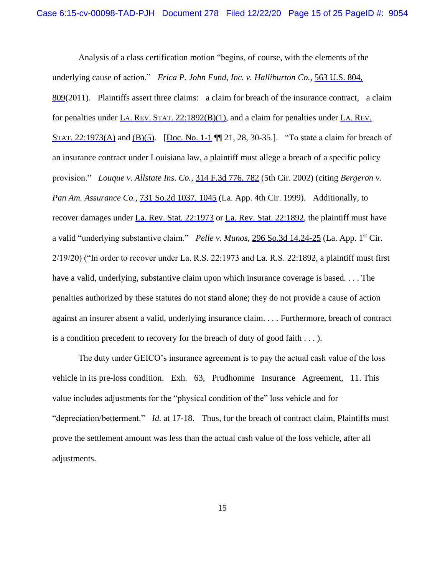Analysis of a class certification motion "begins, of course, with the elements of the underlying cause of action." *Erica P. John Fund, Inc. v. Halliburton Co.*, 563 U.S. 804, 809(2011). Plaintiffs assert three claims: a claim for breach of the insurance contract, a claim for penalties under LA. REV. STAT. 22:1892(B)(1), and a claim for penalties under LA. REV. STAT. 22:1973(A) and  $(B)(5)$ . [Doc. No. 1-1 | 1] 21, 28, 30-35.]. "To state a claim for breach of an insurance contract under Louisiana law, a plaintiff must allege a breach of a specific policy provision." *Louque v. Allstate Ins. Co.*, 314 F.3d 776, 782 (5th Cir. 2002) (citing *Bergeron v. Pan Am. Assurance Co.*, 731 So.2d 1037, 1045 (La. App. 4th Cir. 1999). Additionally, to recover damages under La. Rev. Stat. 22:1973 or La. Rev. Stat. 22:1892, the plaintiff must have a valid "underlying substantive claim." *Pelle v. Munos*, 296 So.3d 14,24-25 (La. App. 1<sup>st</sup> Cir. 2/19/20) ("In order to recover under La. R.S. 22:1973 and La. R.S. 22:1892, a plaintiff must first have a valid, underlying, substantive claim upon which insurance coverage is based.... The penalties authorized by these statutes do not stand alone; they do not provide a cause of action against an insurer absent a valid, underlying insurance claim. . . . Furthermore, breach of contract is a condition precedent to recovery for the breach of duty of good faith . . . ).

The duty under GEICO's insurance agreement is to pay the actual cash value of the loss vehicle in its pre-loss condition. Exh. 63, Prudhomme Insurance Agreement, 11. This value includes adjustments for the "physical condition of the" loss vehicle and for "depreciation/betterment." *Id.* at 17-18. Thus, for the breach of contract claim, Plaintiffs must prove the settlement amount was less than the actual cash value of the loss vehicle, after all adjustments.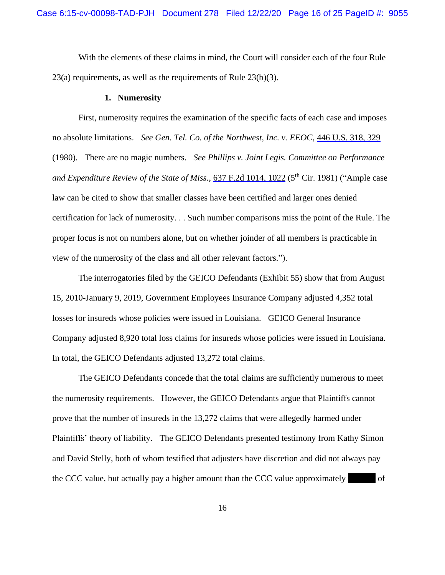With the elements of these claims in mind, the Court will consider each of the four Rule 23(a) requirements, as well as the requirements of Rule 23(b)(3).

#### **1. Numerosity**

First, numerosity requires the examination of the specific facts of each case and imposes no absolute limitations. *See Gen. Tel. Co. of the Northwest, Inc. v. EEOC*, 446 U.S. 318, 329 (1980). There are no magic numbers. *See Phillips v. Joint Legis. Committee on Performance and Expenditure Review of the State of Miss.*, 637 F.2d 1014, 1022 (5<sup>th</sup> Cir. 1981) ("Ample case law can be cited to show that smaller classes have been certified and larger ones denied certification for lack of numerosity. . . Such number comparisons miss the point of the Rule. The proper focus is not on numbers alone, but on whether joinder of all members is practicable in view of the numerosity of the class and all other relevant factors.").

The interrogatories filed by the GEICO Defendants (Exhibit 55) show that from August 15, 2010-January 9, 2019, Government Employees Insurance Company adjusted 4,352 total losses for insureds whose policies were issued in Louisiana. GEICO General Insurance Company adjusted 8,920 total loss claims for insureds whose policies were issued in Louisiana. In total, the GEICO Defendants adjusted 13,272 total claims.

The GEICO Defendants concede that the total claims are sufficiently numerous to meet the numerosity requirements. However, the GEICO Defendants argue that Plaintiffs cannot prove that the number of insureds in the 13,272 claims that were allegedly harmed under Plaintiffs' theory of liability. The GEICO Defendants presented testimony from Kathy Simon and David Stelly, both of whom testified that adjusters have discretion and did not always pay the CCC value, but actually pay a higher amount than the CCC value approximately of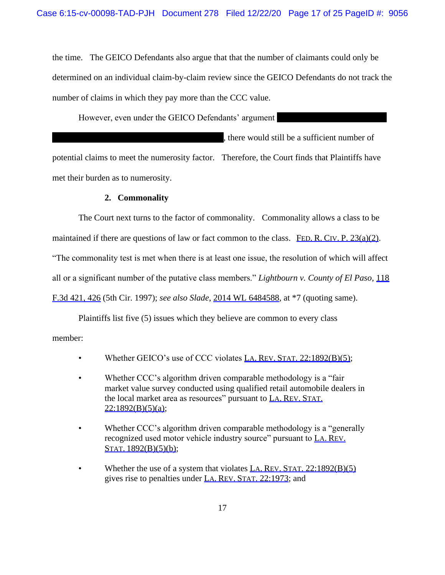the time. The GEICO Defendants also argue that that the number of claimants could only be determined on an individual claim-by-claim review since the GEICO Defendants do not track the number of claims in which they pay more than the CCC value.

However, even under the GEICO Defendants' argument

potential claims to meet the numerosity factor. Therefore, the Court finds that Plaintiffs have met their burden as to numerosity.

, there would still be a sufficient number of

# **2. Commonality**

The Court next turns to the factor of commonality. Commonality allows a class to be maintained if there are questions of law or fact common to the class. FED. R. CIV. P. 23(a)(2). "The commonality test is met when there is at least one issue, the resolution of which will affect all or a significant number of the putative class members." *Lightbourn v. County of El Paso*, 118 F.3d 421, 426 (5th Cir. 1997); *see also Slade*, 2014 WL 6484588, at \*7 (quoting same).

Plaintiffs list five (5) issues which they believe are common to every class member:

- Whether GEICO's use of CCC violates LA. REV. STAT. 22:1892(B)(5);
- Whether CCC's algorithm driven comparable methodology is a "fair" market value survey conducted using qualified retail automobile dealers in the local market area as resources" pursuant to LA. REV. STAT.  $22:1892(B)(5)(a);$
- Whether CCC's algorithm driven comparable methodology is a "generally" recognized used motor vehicle industry source" pursuant to LA. REV. STAT. 1892(B)(5)(b);
- Whether the use of a system that violates LA. REV. STAT.  $22:1892(B)(5)$ gives rise to penalties under LA. REV. STAT. 22:1973; and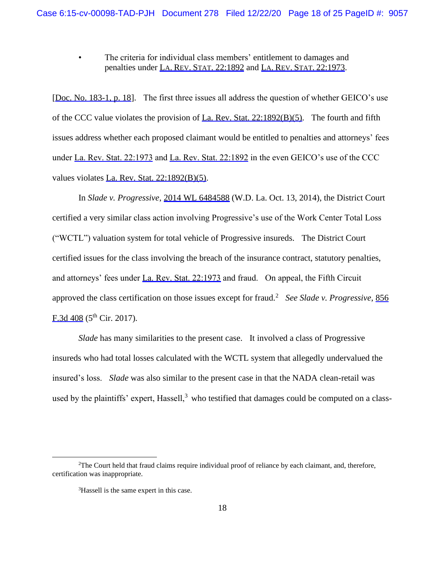The criteria for individual class members' entitlement to damages and penalties under LA. REV. STAT. 22:1892 and LA. REV. STAT. 22:1973.

[Doc. No. 183-1, p. 18]. The first three issues all address the question of whether GEICO's use of the CCC value violates the provision of La. Rev. Stat. 22:1892(B)(5). The fourth and fifth issues address whether each proposed claimant would be entitled to penalties and attorneys' fees under La. Rev. Stat. 22:1973 and La. Rev. Stat. 22:1892 in the even GEICO's use of the CCC values violates La. Rev. Stat. 22:1892(B)(5).

In *Slade v. Progressive*, 2014 WL 6484588 (W.D. La. Oct. 13, 2014), the District Court certified a very similar class action involving Progressive's use of the Work Center Total Loss ("WCTL") valuation system for total vehicle of Progressive insureds. The District Court certified issues for the class involving the breach of the insurance contract, statutory penalties, and attorneys' fees under La. Rev. Stat. 22:1973 and fraud. On appeal, the Fifth Circuit approved the class certification on those issues except for fraud.<sup>2</sup> See Slade v. Progressive, 856  $E.3d.408$  (5<sup>th</sup> Cir. 2017).

*Slade* has many similarities to the present case. It involved a class of Progressive insureds who had total losses calculated with the WCTL system that allegedly undervalued the insured's loss. *Slade* was also similar to the present case in that the NADA clean-retail was used by the plaintiffs' expert, Hassell, $3$  who testified that damages could be computed on a class-

<sup>2</sup>The Court held that fraud claims require individual proof of reliance by each claimant, and, therefore, certification was inappropriate.

<sup>&</sup>lt;sup>3</sup>Hassell is the same expert in this case.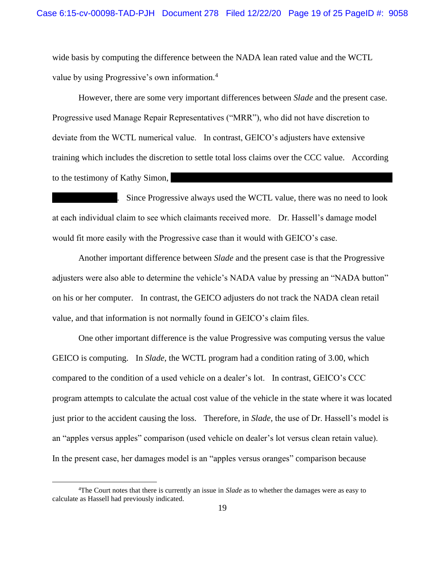wide basis by computing the difference between the NADA lean rated value and the WCTL value by using Progressive's own information.<sup>4</sup>

However, there are some very important differences between *Slade* and the present case. Progressive used Manage Repair Representatives ("MRR"), who did not have discretion to deviate from the WCTL numerical value. In contrast, GEICO's adjusters have extensive training which includes the discretion to settle total loss claims over the CCC value. According to the testimony of Kathy Simon,

 . Since Progressive always used the WCTL value, there was no need to look at each individual claim to see which claimants received more. Dr. Hassell's damage model would fit more easily with the Progressive case than it would with GEICO's case.

Another important difference between *Slade* and the present case is that the Progressive adjusters were also able to determine the vehicle's NADA value by pressing an "NADA button" on his or her computer. In contrast, the GEICO adjusters do not track the NADA clean retail value, and that information is not normally found in GEICO's claim files.

One other important difference is the value Progressive was computing versus the value GEICO is computing. In *Slade*, the WCTL program had a condition rating of 3.00, which compared to the condition of a used vehicle on a dealer's lot. In contrast, GEICO's CCC program attempts to calculate the actual cost value of the vehicle in the state where it was located just prior to the accident causing the loss. Therefore, in *Slade,* the use of Dr. Hassell's model is an "apples versus apples" comparison (used vehicle on dealer's lot versus clean retain value). In the present case, her damages model is an "apples versus oranges" comparison because

<sup>4</sup>The Court notes that there is currently an issue in *Slade* as to whether the damages were as easy to calculate as Hassell had previously indicated.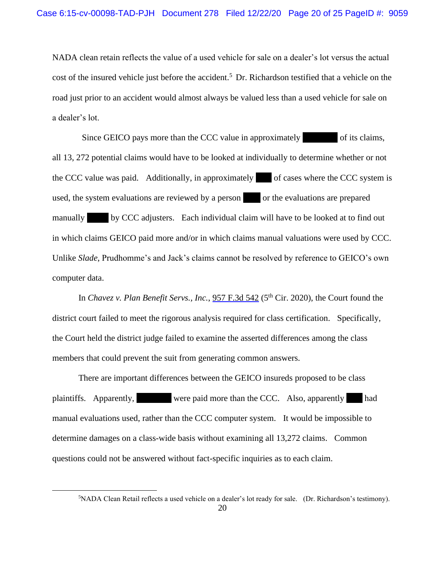NADA clean retain reflects the value of a used vehicle for sale on a dealer's lot versus the actual cost of the insured vehicle just before the accident.<sup>5</sup> Dr. Richardson testified that a vehicle on the road just prior to an accident would almost always be valued less than a used vehicle for sale on a dealer's lot.

Since GEICO pays more than the CCC value in approximately of its claims, all 13, 272 potential claims would have to be looked at individually to determine whether or not the CCC value was paid. Additionally, in approximately of cases where the CCC system is used, the system evaluations are reviewed by a person or the evaluations are prepared manually by CCC adjusters. Each individual claim will have to be looked at to find out in which claims GEICO paid more and/or in which claims manual valuations were used by CCC. Unlike *Slade*, Prudhomme's and Jack's claims cannot be resolved by reference to GEICO's own computer data.

In *Chavez v. Plan Benefit Servs., Inc.*, 957 F.3d 542 (5<sup>th</sup> Cir. 2020), the Court found the district court failed to meet the rigorous analysis required for class certification. Specifically, the Court held the district judge failed to examine the asserted differences among the class members that could prevent the suit from generating common answers.

There are important differences between the GEICO insureds proposed to be class plaintiffs. Apparently, were paid more than the CCC. Also, apparently had manual evaluations used, rather than the CCC computer system. It would be impossible to determine damages on a class-wide basis without examining all 13,272 claims. Common questions could not be answered without fact-specific inquiries as to each claim.

<sup>5</sup>NADA Clean Retail reflects a used vehicle on a dealer's lot ready for sale. (Dr. Richardson's testimony).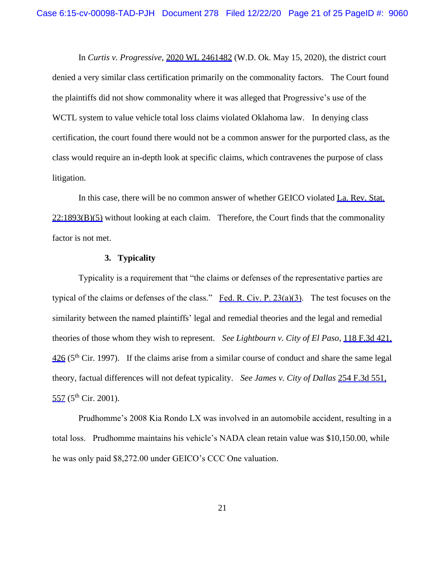In *Curtis v. Progressive*, 2020 WL 2461482 (W.D. Ok. May 15, 2020), the district court denied a very similar class certification primarily on the commonality factors. The Court found the plaintiffs did not show commonality where it was alleged that Progressive's use of the WCTL system to value vehicle total loss claims violated Oklahoma law. In denying class certification, the court found there would not be a common answer for the purported class, as the class would require an in-depth look at specific claims, which contravenes the purpose of class litigation.

In this case, there will be no common answer of whether GEICO violated La. Rev. Stat.  $22:1893(B)(5)$  without looking at each claim. Therefore, the Court finds that the commonality factor is not met.

# **3. Typicality**

Typicality is a requirement that "the claims or defenses of the representative parties are typical of the claims or defenses of the class." Fed. R. Civ. P. 23(a)(3). The test focuses on the similarity between the named plaintiffs' legal and remedial theories and the legal and remedial theories of those whom they wish to represent. *See Lightbourn v. City of El Paso*, 118 F.3d 421,  $426$  (5<sup>th</sup> Cir. 1997). If the claims arise from a similar course of conduct and share the same legal theory, factual differences will not defeat typicality. *See James v. City of Dallas* 254 F.3d 551,  $557$  (5<sup>th</sup> Cir. 2001).

Prudhomme's 2008 Kia Rondo LX was involved in an automobile accident, resulting in a total loss. Prudhomme maintains his vehicle's NADA clean retain value was \$10,150.00, while he was only paid \$8,272.00 under GEICO's CCC One valuation.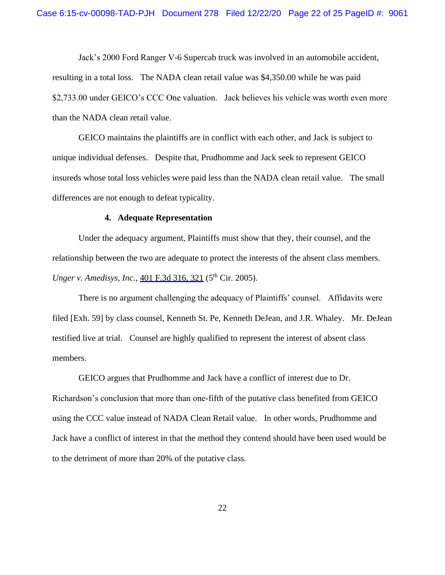Jack's 2000 Ford Ranger V-6 Supercab truck was involved in an automobile accident, resulting in a total loss. The NADA clean retail value was \$4,350.00 while he was paid \$2,733.00 under GEICO's CCC One valuation. Jack believes his vehicle was worth even more than the NADA clean retail value.

GEICO maintains the plaintiffs are in conflict with each other, and Jack is subject to unique individual defenses. Despite that, Prudhomme and Jack seek to represent GEICO insureds whose total loss vehicles were paid less than the NADA clean retail value. The small differences are not enough to defeat typicality.

#### **4. Adequate Representation**

Under the adequacy argument, Plaintiffs must show that they, their counsel, and the relationship between the two are adequate to protect the interests of the absent class members. *Unger v. Amedisys, Inc., 401 F.3d 316, 321 (5<sup>th</sup> Cir. 2005).* 

There is no argument challenging the adequacy of Plaintiffs' counsel. Affidavits were filed [Exh. 59] by class counsel, Kenneth St. Pe, Kenneth DeJean, and J.R. Whaley. Mr. DeJean testified live at trial. Counsel are highly qualified to represent the interest of absent class members.

GEICO argues that Prudhomme and Jack have a conflict of interest due to Dr. Richardson's conclusion that more than one-fifth of the putative class benefited from GEICO using the CCC value instead of NADA Clean Retail value. In other words, Prudhomme and Jack have a conflict of interest in that the method they contend should have been used would be to the detriment of more than 20% of the putative class.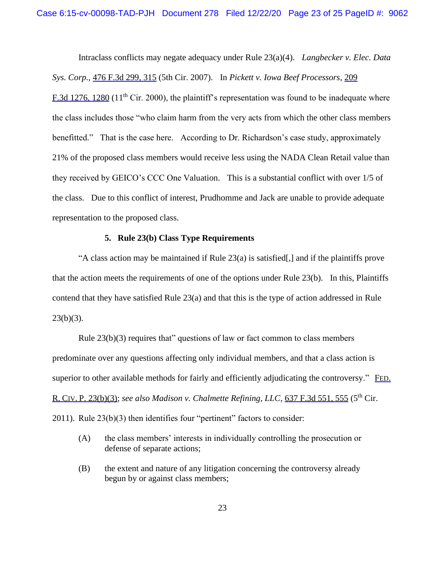Intraclass conflicts may negate adequacy under Rule 23(a)(4). *Langbecker v. Elec. Data Sys. Corp.,* 476 F.3d 299, 315 (5th Cir. 2007). In *Pickett v. Iowa Beef Processors*, 209 F.3d 1276, 1280 (11<sup>th</sup> Cir. 2000), the plaintiff's representation was found to be inadequate where the class includes those "who claim harm from the very acts from which the other class members benefitted." That is the case here. According to Dr. Richardson's case study, approximately 21% of the proposed class members would receive less using the NADA Clean Retail value than they received by GEICO's CCC One Valuation. This is a substantial conflict with over 1/5 of the class. Due to this conflict of interest, Prudhomme and Jack are unable to provide adequate representation to the proposed class.

# **5. Rule 23(b) Class Type Requirements**

"A class action may be maintained if Rule  $23(a)$  is satisfied[,] and if the plaintiffs prove that the action meets the requirements of one of the options under Rule 23(b). In this, Plaintiffs contend that they have satisfied Rule 23(a) and that this is the type of action addressed in Rule  $23(b)(3)$ .

Rule 23(b)(3) requires that" questions of law or fact common to class members predominate over any questions affecting only individual members, and that a class action is superior to other available methods for fairly and efficiently adjudicating the controversy." FED. R. CIV. P. 23(b)(3); *see also Madison v. Chalmette Refining, LLC*, 637 F.3d 551, 555 (5th Cir. 2011). Rule 23(b)(3) then identifies four "pertinent" factors to consider:

- (A) the class members' interests in individually controlling the prosecution or defense of separate actions;
- (B) the extent and nature of any litigation concerning the controversy already begun by or against class members;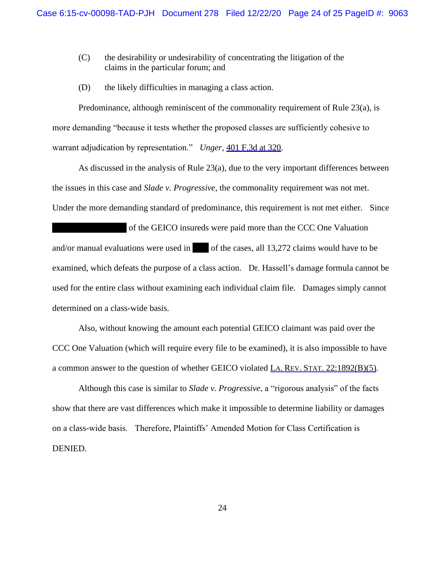- (C) the desirability or undesirability of concentrating the litigation of the claims in the particular forum; and
- (D) the likely difficulties in managing a class action.

Predominance, although reminiscent of the commonality requirement of Rule 23(a), is more demanding "because it tests whether the proposed classes are sufficiently cohesive to warrant adjudication by representation." *Unger*, 401 F.3d at 320.

As discussed in the analysis of Rule 23(a), due to the very important differences between the issues in this case and *Slade v. Progressive*, the commonality requirement was not met. Under the more demanding standard of predominance, this requirement is not met either. Since

 of the GEICO insureds were paid more than the CCC One Valuation and/or manual evaluations were used in of the cases, all  $13,272$  claims would have to be examined, which defeats the purpose of a class action. Dr. Hassell's damage formula cannot be used for the entire class without examining each individual claim file. Damages simply cannot determined on a class-wide basis.

Also, without knowing the amount each potential GEICO claimant was paid over the CCC One Valuation (which will require every file to be examined), it is also impossible to have a common answer to the question of whether GEICO violated LA. REV. STAT. 22:1892(B)(5).

Although this case is similar to *Slade v. Progressive*, a "rigorous analysis" of the facts show that there are vast differences which make it impossible to determine liability or damages on a class-wide basis. Therefore, Plaintiffs' Amended Motion for Class Certification is DENIED.